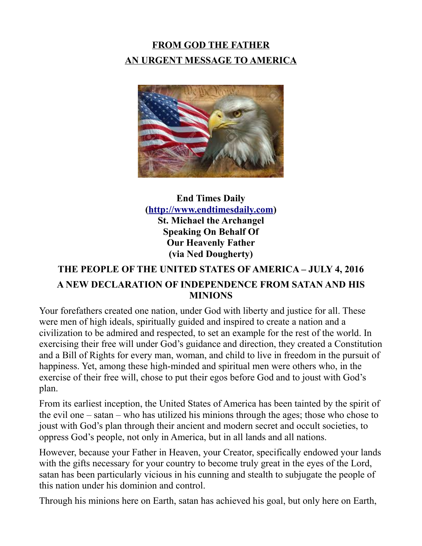# **FROM GOD THE FATHER AN URGENT MESSAGE TO AMERICA**



**End Times Daily [\(http://www.endtimesdaily.com\)](http://www.endtimesdaily.com/) St. Michael the Archangel Speaking On Behalf Of Our Heavenly Father (via Ned Dougherty)**

# **THE PEOPLE OF THE UNITED STATES OF AMERICA – JULY 4, 2016 A NEW DECLARATION OF INDEPENDENCE FROM SATAN AND HIS MINIONS**

Your forefathers created one nation, under God with liberty and justice for all. These were men of high ideals, spiritually guided and inspired to create a nation and a civilization to be admired and respected, to set an example for the rest of the world. In exercising their free will under God's guidance and direction, they created a Constitution and a Bill of Rights for every man, woman, and child to live in freedom in the pursuit of happiness. Yet, among these high-minded and spiritual men were others who, in the exercise of their free will, chose to put their egos before God and to joust with God's plan.

From its earliest inception, the United States of America has been tainted by the spirit of the evil one – satan – who has utilized his minions through the ages; those who chose to joust with God's plan through their ancient and modern secret and occult societies, to oppress God's people, not only in America, but in all lands and all nations.

However, because your Father in Heaven, your Creator, specifically endowed your lands with the gifts necessary for your country to become truly great in the eyes of the Lord, satan has been particularly vicious in his cunning and stealth to subjugate the people of this nation under his dominion and control.

Through his minions here on Earth, satan has achieved his goal, but only here on Earth,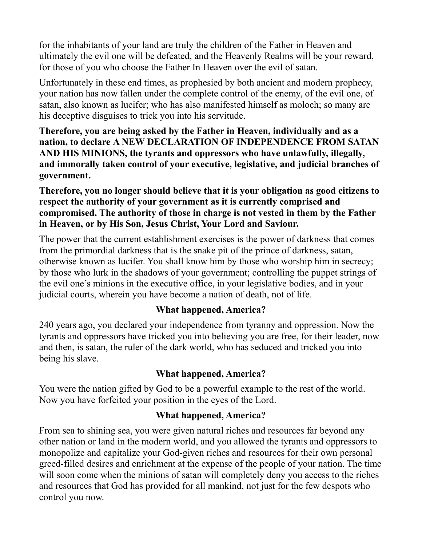for the inhabitants of your land are truly the children of the Father in Heaven and ultimately the evil one will be defeated, and the Heavenly Realms will be your reward, for those of you who choose the Father In Heaven over the evil of satan.

Unfortunately in these end times, as prophesied by both ancient and modern prophecy, your nation has now fallen under the complete control of the enemy, of the evil one, of satan, also known as lucifer; who has also manifested himself as moloch; so many are his deceptive disguises to trick you into his servitude.

**Therefore, you are being asked by the Father in Heaven, individually and as a nation, to declare A NEW DECLARATION OF INDEPENDENCE FROM SATAN AND HIS MINIONS, the tyrants and oppressors who have unlawfully, illegally, and immorally taken control of your executive, legislative, and judicial branches of government.**

**Therefore, you no longer should believe that it is your obligation as good citizens to respect the authority of your government as it is currently comprised and compromised. The authority of those in charge is not vested in them by the Father in Heaven, or by His Son, Jesus Christ, Your Lord and Saviour.**

The power that the current establishment exercises is the power of darkness that comes from the primordial darkness that is the snake pit of the prince of darkness, satan, otherwise known as lucifer. You shall know him by those who worship him in secrecy; by those who lurk in the shadows of your government; controlling the puppet strings of the evil one's minions in the executive office, in your legislative bodies, and in your judicial courts, wherein you have become a nation of death, not of life.

## **What happened, America?**

240 years ago, you declared your independence from tyranny and oppression. Now the tyrants and oppressors have tricked you into believing you are free, for their leader, now and then, is satan, the ruler of the dark world, who has seduced and tricked you into being his slave.

## **What happened, America?**

You were the nation gifted by God to be a powerful example to the rest of the world. Now you have forfeited your position in the eyes of the Lord.

### **What happened, America?**

From sea to shining sea, you were given natural riches and resources far beyond any other nation or land in the modern world, and you allowed the tyrants and oppressors to monopolize and capitalize your God-given riches and resources for their own personal greed-filled desires and enrichment at the expense of the people of your nation. The time will soon come when the minions of satan will completely deny you access to the riches and resources that God has provided for all mankind, not just for the few despots who control you now.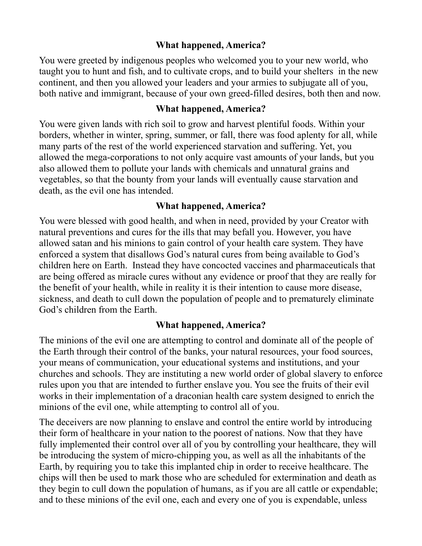## **What happened, America?**

You were greeted by indigenous peoples who welcomed you to your new world, who taught you to hunt and fish, and to cultivate crops, and to build your shelters in the new continent, and then you allowed your leaders and your armies to subjugate all of you, both native and immigrant, because of your own greed-filled desires, both then and now.

## **What happened, America?**

You were given lands with rich soil to grow and harvest plentiful foods. Within your borders, whether in winter, spring, summer, or fall, there was food aplenty for all, while many parts of the rest of the world experienced starvation and suffering. Yet, you allowed the mega-corporations to not only acquire vast amounts of your lands, but you also allowed them to pollute your lands with chemicals and unnatural grains and vegetables, so that the bounty from your lands will eventually cause starvation and death, as the evil one has intended.

## **What happened, America?**

You were blessed with good health, and when in need, provided by your Creator with natural preventions and cures for the ills that may befall you. However, you have allowed satan and his minions to gain control of your health care system. They have enforced a system that disallows God's natural cures from being available to God's children here on Earth. Instead they have concocted vaccines and pharmaceuticals that are being offered as miracle cures without any evidence or proof that they are really for the benefit of your health, while in reality it is their intention to cause more disease, sickness, and death to cull down the population of people and to prematurely eliminate God's children from the Earth.

## **What happened, America?**

The minions of the evil one are attempting to control and dominate all of the people of the Earth through their control of the banks, your natural resources, your food sources, your means of communication, your educational systems and institutions, and your churches and schools. They are instituting a new world order of global slavery to enforce rules upon you that are intended to further enslave you. You see the fruits of their evil works in their implementation of a draconian health care system designed to enrich the minions of the evil one, while attempting to control all of you.

The deceivers are now planning to enslave and control the entire world by introducing their form of healthcare in your nation to the poorest of nations. Now that they have fully implemented their control over all of you by controlling your healthcare, they will be introducing the system of micro-chipping you, as well as all the inhabitants of the Earth, by requiring you to take this implanted chip in order to receive healthcare. The chips will then be used to mark those who are scheduled for extermination and death as they begin to cull down the population of humans, as if you are all cattle or expendable; and to these minions of the evil one, each and every one of you is expendable, unless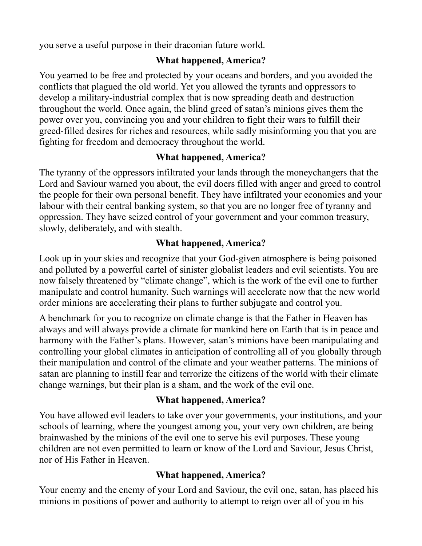you serve a useful purpose in their draconian future world.

## **What happened, America?**

You yearned to be free and protected by your oceans and borders, and you avoided the conflicts that plagued the old world. Yet you allowed the tyrants and oppressors to develop a military-industrial complex that is now spreading death and destruction throughout the world. Once again, the blind greed of satan's minions gives them the power over you, convincing you and your children to fight their wars to fulfill their greed-filled desires for riches and resources, while sadly misinforming you that you are fighting for freedom and democracy throughout the world.

## **What happened, America?**

The tyranny of the oppressors infiltrated your lands through the moneychangers that the Lord and Saviour warned you about, the evil doers filled with anger and greed to control the people for their own personal benefit. They have infiltrated your economies and your labour with their central banking system, so that you are no longer free of tyranny and oppression. They have seized control of your government and your common treasury, slowly, deliberately, and with stealth.

## **What happened, America?**

Look up in your skies and recognize that your God-given atmosphere is being poisoned and polluted by a powerful cartel of sinister globalist leaders and evil scientists. You are now falsely threatened by "climate change", which is the work of the evil one to further manipulate and control humanity. Such warnings will accelerate now that the new world order minions are accelerating their plans to further subjugate and control you.

A benchmark for you to recognize on climate change is that the Father in Heaven has always and will always provide a climate for mankind here on Earth that is in peace and harmony with the Father's plans. However, satan's minions have been manipulating and controlling your global climates in anticipation of controlling all of you globally through their manipulation and control of the climate and your weather patterns. The minions of satan are planning to instill fear and terrorize the citizens of the world with their climate change warnings, but their plan is a sham, and the work of the evil one.

## **What happened, America?**

You have allowed evil leaders to take over your governments, your institutions, and your schools of learning, where the youngest among you, your very own children, are being brainwashed by the minions of the evil one to serve his evil purposes. These young children are not even permitted to learn or know of the Lord and Saviour, Jesus Christ, nor of His Father in Heaven.

# **What happened, America?**

Your enemy and the enemy of your Lord and Saviour, the evil one, satan, has placed his minions in positions of power and authority to attempt to reign over all of you in his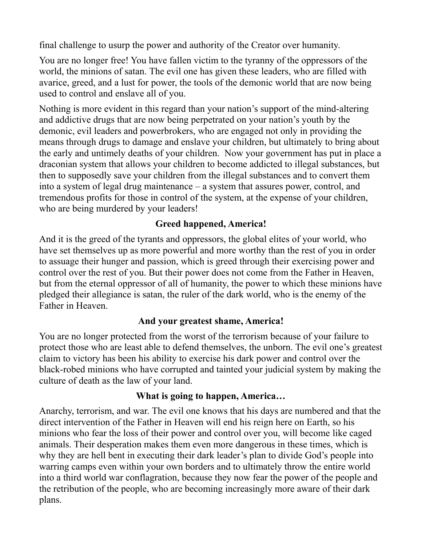final challenge to usurp the power and authority of the Creator over humanity.

You are no longer free! You have fallen victim to the tyranny of the oppressors of the world, the minions of satan. The evil one has given these leaders, who are filled with avarice, greed, and a lust for power, the tools of the demonic world that are now being used to control and enslave all of you.

Nothing is more evident in this regard than your nation's support of the mind-altering and addictive drugs that are now being perpetrated on your nation's youth by the demonic, evil leaders and powerbrokers, who are engaged not only in providing the means through drugs to damage and enslave your children, but ultimately to bring about the early and untimely deaths of your children. Now your government has put in place a draconian system that allows your children to become addicted to illegal substances, but then to supposedly save your children from the illegal substances and to convert them into a system of legal drug maintenance – a system that assures power, control, and tremendous profits for those in control of the system, at the expense of your children, who are being murdered by your leaders!

## **Greed happened, America!**

And it is the greed of the tyrants and oppressors, the global elites of your world, who have set themselves up as more powerful and more worthy than the rest of you in order to assuage their hunger and passion, which is greed through their exercising power and control over the rest of you. But their power does not come from the Father in Heaven, but from the eternal oppressor of all of humanity, the power to which these minions have pledged their allegiance is satan, the ruler of the dark world, who is the enemy of the Father in Heaven.

## **And your greatest shame, America!**

You are no longer protected from the worst of the terrorism because of your failure to protect those who are least able to defend themselves, the unborn. The evil one's greatest claim to victory has been his ability to exercise his dark power and control over the black-robed minions who have corrupted and tainted your judicial system by making the culture of death as the law of your land.

## **What is going to happen, America…**

Anarchy, terrorism, and war. The evil one knows that his days are numbered and that the direct intervention of the Father in Heaven will end his reign here on Earth, so his minions who fear the loss of their power and control over you, will become like caged animals. Their desperation makes them even more dangerous in these times, which is why they are hell bent in executing their dark leader's plan to divide God's people into warring camps even within your own borders and to ultimately throw the entire world into a third world war conflagration, because they now fear the power of the people and the retribution of the people, who are becoming increasingly more aware of their dark plans.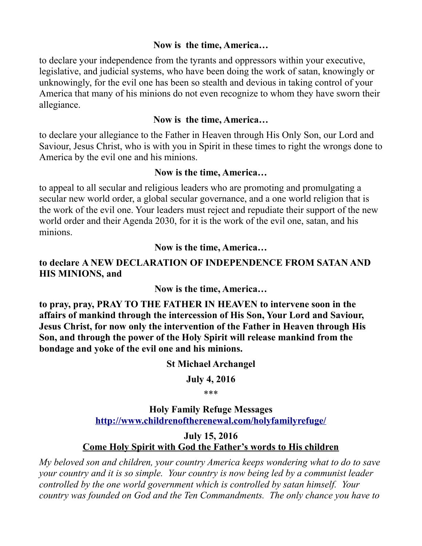## **Now is the time, America…**

to declare your independence from the tyrants and oppressors within your executive, legislative, and judicial systems, who have been doing the work of satan, knowingly or unknowingly, for the evil one has been so stealth and devious in taking control of your America that many of his minions do not even recognize to whom they have sworn their allegiance.

## **Now is the time, America…**

to declare your allegiance to the Father in Heaven through His Only Son, our Lord and Saviour, Jesus Christ, who is with you in Spirit in these times to right the wrongs done to America by the evil one and his minions.

## **Now is the time, America…**

to appeal to all secular and religious leaders who are promoting and promulgating a secular new world order, a global secular governance, and a one world religion that is the work of the evil one. Your leaders must reject and repudiate their support of the new world order and their Agenda 2030, for it is the work of the evil one, satan, and his minions.

**Now is the time, America…**

## **to declare A NEW DECLARATION OF INDEPENDENCE FROM SATAN AND HIS MINIONS, and**

**Now is the time, America…**

**to pray, pray, PRAY TO THE FATHER IN HEAVEN to intervene soon in the affairs of mankind through the intercession of His Son, Your Lord and Saviour, Jesus Christ, for now only the intervention of the Father in Heaven through His Son, and through the power of the Holy Spirit will release mankind from the bondage and yoke of the evil one and his minions.**

**St Michael Archangel**

**July 4, 2016**

\*\*\*

**Holy Family Refuge Messages <http://www.childrenoftherenewal.com/holyfamilyrefuge/>**

# **July 15, 2016 Come Holy Spirit with God the Father's words to His children**

*My beloved son and children, your country America keeps wondering what to do to save your country and it is so simple. Your country is now being led by a communist leader controlled by the one world government which is controlled by satan himself. Your country was founded on God and the Ten Commandments. The only chance you have to*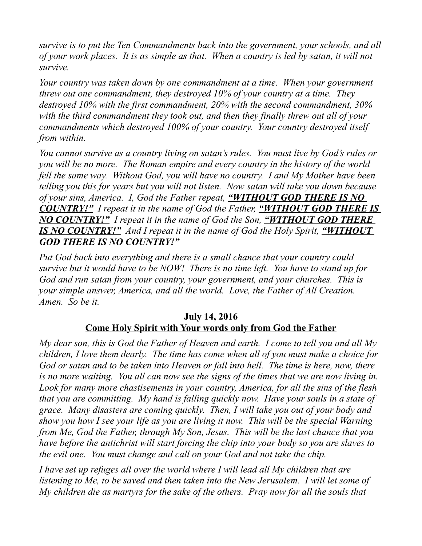*survive is to put the Ten Commandments back into the government, your schools, and all of your work places. It is as simple as that. When a country is led by satan, it will not survive.* 

*Your country was taken down by one commandment at a time. When your government threw out one commandment, they destroyed 10% of your country at a time. They destroyed 10% with the first commandment, 20% with the second commandment, 30% with the third commandment they took out, and then they finally threw out all of your commandments which destroyed 100% of your country. Your country destroyed itself from within.* 

*You cannot survive as a country living on satan's rules. You must live by God's rules or you will be no more. The Roman empire and every country in the history of the world fell the same way. Without God, you will have no country. I and My Mother have been telling you this for years but you will not listen. Now satan will take you down because of your sins, America. I, God the Father repeat, "WITHOUT GOD THERE IS NO COUNTRY!" I repeat it in the name of God the Father, "WITHOUT GOD THERE IS NO COUNTRY!" I repeat it in the name of God the Son, "WITHOUT GOD THERE IS NO COUNTRY!" And I repeat it in the name of God the Holy Spirit, "WITHOUT GOD THERE IS NO COUNTRY!"*

*Put God back into everything and there is a small chance that your country could survive but it would have to be NOW! There is no time left. You have to stand up for God and run satan from your country, your government, and your churches. This is your simple answer, America, and all the world. Love, the Father of All Creation. Amen. So be it.*

## **July 14, 2016 Come Holy Spirit with Your words only from God the Father**

*My dear son, this is God the Father of Heaven and earth. I come to tell you and all My children, I love them dearly. The time has come when all of you must make a choice for God or satan and to be taken into Heaven or fall into hell. The time is here, now, there is no more waiting. You all can now see the signs of the times that we are now living in. Look for many more chastisements in your country, America, for all the sins of the flesh that you are committing. My hand is falling quickly now. Have your souls in a state of grace. Many disasters are coming quickly. Then, I will take you out of your body and show you how I see your life as you are living it now. This will be the special Warning from Me, God the Father, through My Son, Jesus. This will be the last chance that you have before the antichrist will start forcing the chip into your body so you are slaves to the evil one. You must change and call on your God and not take the chip.*

*I have set up refuges all over the world where I will lead all My children that are listening to Me, to be saved and then taken into the New Jerusalem. I will let some of My children die as martyrs for the sake of the others. Pray now for all the souls that*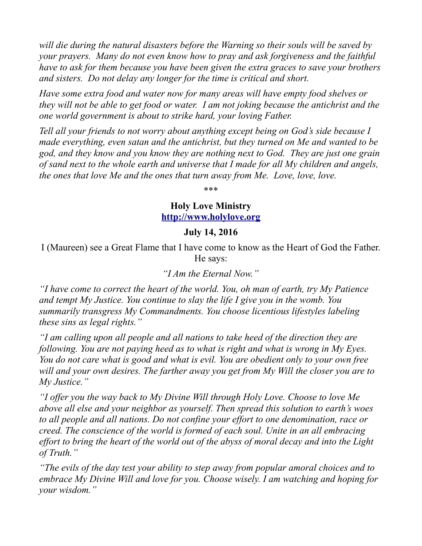*will die during the natural disasters before the Warning so their souls will be saved by your prayers. Many do not even know how to pray and ask forgiveness and the faithful have to ask for them because you have been given the extra graces to save your brothers and sisters. Do not delay any longer for the time is critical and short.*

*Have some extra food and water now for many areas will have empty food shelves or they will not be able to get food or water. I am not joking because the antichrist and the one world government is about to strike hard, your loving Father.* 

*Tell all your friends to not worry about anything except being on God's side because I made everything, even satan and the antichrist, but they turned on Me and wanted to be god, and they know and you know they are nothing next to God. They are just one grain of sand next to the whole earth and universe that I made for all My children and angels, the ones that love Me and the ones that turn away from Me. Love, love, love.*

\*\*\*

## **Holy Love Ministry [http://www.holylove.org](http://www.holylove.org/)**

#### **July 14, 2016**

I (Maureen) see a Great Flame that I have come to know as the Heart of God the Father. He says:

### *"I Am the Eternal Now."*

*"I have come to correct the heart of the world. You, oh man of earth, try My Patience and tempt My Justice. You continue to slay the life I give you in the womb. You summarily transgress My Commandments. You choose licentious lifestyles labeling these sins as legal rights."*

*"I am calling upon all people and all nations to take heed of the direction they are following. You are not paying heed as to what is right and what is wrong in My Eyes. You do not care what is good and what is evil. You are obedient only to your own free will and your own desires. The farther away you get from My Will the closer you are to My Justice."*

*"I offer you the way back to My Divine Will through Holy Love. Choose to love Me above all else and your neighbor as yourself. Then spread this solution to earth's woes to all people and all nations. Do not confine your effort to one denomination, race or creed. The conscience of the world is formed of each soul. Unite in an all embracing effort to bring the heart of the world out of the abyss of moral decay and into the Light of Truth."*

*"The evils of the day test your ability to step away from popular amoral choices and to embrace My Divine Will and love for you. Choose wisely. I am watching and hoping for your wisdom."*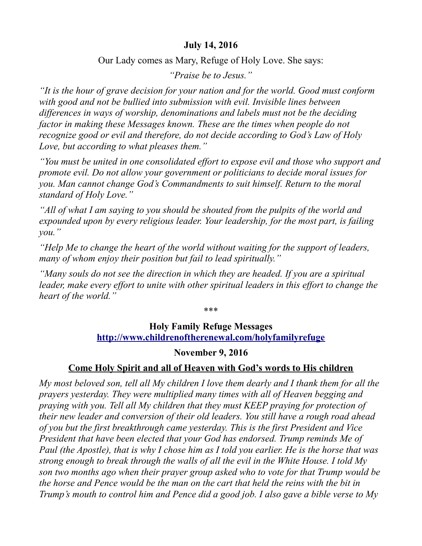## **July 14, 2016**

Our Lady comes as Mary, Refuge of Holy Love. She says:

*"Praise be to Jesus."*

*"It is the hour of grave decision for your nation and for the world. Good must conform with good and not be bullied into submission with evil. Invisible lines between differences in ways of worship, denominations and labels must not be the deciding factor in making these Messages known. These are the times when people do not recognize good or evil and therefore, do not decide according to God's Law of Holy Love, but according to what pleases them."*

*"You must be united in one consolidated effort to expose evil and those who support and promote evil. Do not allow your government or politicians to decide moral issues for you. Man cannot change God's Commandments to suit himself. Return to the moral standard of Holy Love."*

*"All of what I am saying to you should be shouted from the pulpits of the world and expounded upon by every religious leader. Your leadership, for the most part, is failing you."*

*"Help Me to change the heart of the world without waiting for the support of leaders, many of whom enjoy their position but fail to lead spiritually."*

*"Many souls do not see the direction in which they are headed. If you are a spiritual leader, make every effort to unite with other spiritual leaders in this effort to change the heart of the world."*

\*\*\*

**Holy Family Refuge Messages <http://www.childrenoftherenewal.com/holyfamilyrefuge>**

## **November 9, 2016**

## **Come Holy Spirit and all of Heaven with God's words to His children**

*My most beloved son, tell all My children I love them dearly and I thank them for all the prayers yesterday. They were multiplied many times with all of Heaven begging and praying with you. Tell all My children that they must KEEP praying for protection of their new leader and conversion of their old leaders. You still have a rough road ahead of you but the first breakthrough came yesterday. This is the first President and Vice President that have been elected that your God has endorsed. Trump reminds Me of Paul (the Apostle), that is why I chose him as I told you earlier. He is the horse that was strong enough to break through the walls of all the evil in the White House. I told My son two months ago when their prayer group asked who to vote for that Trump would be the horse and Pence would be the man on the cart that held the reins with the bit in Trump's mouth to control him and Pence did a good job. I also gave a bible verse to My*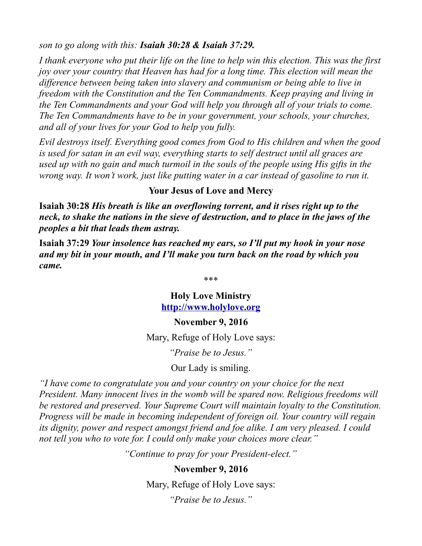*son to go along with this: Isaiah 30:28 & Isaiah 37:29.*

*I thank everyone who put their life on the line to help win this election. This was the first joy over your country that Heaven has had for a long time. This election will mean the difference between being taken into slavery and communism or being able to live in freedom with the Constitution and the Ten Commandments. Keep praying and living in the Ten Commandments and your God will help you through all of your trials to come. The Ten Commandments have to be in your government, your schools, your churches, and all of your lives for your God to help you fully.*

*Evil destroys itself. Everything good comes from God to His children and when the good is used for satan in an evil way, everything starts to self destruct until all graces are used up with no gain and much turmoil in the souls of the people using His gifts in the wrong way. It won't work, just like putting water in a car instead of gasoline to run it.*

## **Your Jesus of Love and Mercy**

**Isaiah 30:28** *His breath is like an overflowing torrent, and it rises right up to the neck, to shake the nations in the sieve of destruction, and to place in the jaws of the peoples a bit that leads them astray.*

**Isaiah 37:29** *Your insolence has reached my ears, so I'll put my hook in your nose and my bit in your mouth, and I'll make you turn back on the road by which you came.*

\*\*\*

## **Holy Love Ministry [http://www.holylove.org](http://www.holylove.org/)**

## **November 9, 2016**

Mary, Refuge of Holy Love says:

*"Praise be to Jesus."*

Our Lady is smiling.

*"I have come to congratulate you and your country on your choice for the next President. Many innocent lives in the womb will be spared now. Religious freedoms will be restored and preserved. Your Supreme Court will maintain loyalty to the Constitution. Progress will be made in becoming independent of foreign oil. Your country will regain its dignity, power and respect amongst friend and foe alike. I am very pleased. I could not tell you who to vote for. I could only make your choices more clear."*

*"Continue to pray for your President-elect."*

# **November 9, 2016**

Mary, Refuge of Holy Love says:

*"Praise be to Jesus."*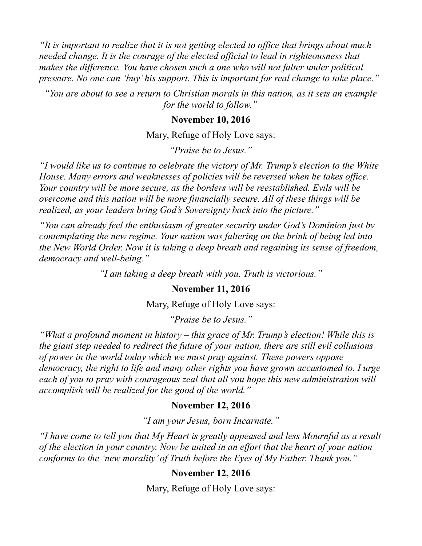*"It is important to realize that it is not getting elected to office that brings about much needed change. It is the courage of the elected official to lead in righteousness that makes the difference. You have chosen such a one who will not falter under political pressure. No one can 'buy' his support. This is important for real change to take place."*

*"You are about to see a return to Christian morals in this nation, as it sets an example for the world to follow."*

#### **November 10, 2016**

Mary, Refuge of Holy Love says:

*"Praise be to Jesus."*

*"I would like us to continue to celebrate the victory of Mr. Trump's election to the White House. Many errors and weaknesses of policies will be reversed when he takes office. Your country will be more secure, as the borders will be reestablished. Evils will be overcome and this nation will be more financially secure. All of these things will be realized, as your leaders bring God's Sovereignty back into the picture."*

*"You can already feel the enthusiasm of greater security under God's Dominion just by contemplating the new regime. Your nation was faltering on the brink of being led into the New World Order. Now it is taking a deep breath and regaining its sense of freedom, democracy and well-being."*

*"I am taking a deep breath with you. Truth is victorious."*

#### **November 11, 2016**

Mary, Refuge of Holy Love says:

*"Praise be to Jesus."*

*"What a profound moment in history – this grace of Mr. Trump's election! While this is the giant step needed to redirect the future of your nation, there are still evil collusions of power in the world today which we must pray against. These powers oppose democracy, the right to life and many other rights you have grown accustomed to. I urge each of you to pray with courageous zeal that all you hope this new administration will accomplish will be realized for the good of the world."*

#### **November 12, 2016**

*"I am your Jesus, born Incarnate."*

*"I have come to tell you that My Heart is greatly appeased and less Mournful as a result of the election in your country. Now be united in an effort that the heart of your nation conforms to the 'new morality' of Truth before the Eyes of My Father. Thank you."*

#### **November 12, 2016**

Mary, Refuge of Holy Love says: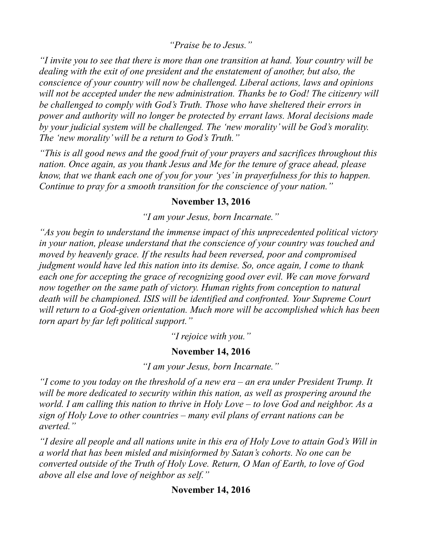*"Praise be to Jesus."*

*"I invite you to see that there is more than one transition at hand. Your country will be dealing with the exit of one president and the enstatement of another, but also, the conscience of your country will now be challenged. Liberal actions, laws and opinions*  will not be accepted under the new administration. Thanks be to God! The citizenry will *be challenged to comply with God's Truth. Those who have sheltered their errors in power and authority will no longer be protected by errant laws. Moral decisions made by your judicial system will be challenged. The 'new morality' will be God's morality. The 'new morality' will be a return to God's Truth."*

*"This is all good news and the good fruit of your prayers and sacrifices throughout this nation. Once again, as you thank Jesus and Me for the tenure of grace ahead, please know, that we thank each one of you for your 'yes' in prayerfulness for this to happen. Continue to pray for a smooth transition for the conscience of your nation."*

### **November 13, 2016**

*"I am your Jesus, born Incarnate."*

*"As you begin to understand the immense impact of this unprecedented political victory in your nation, please understand that the conscience of your country was touched and moved by heavenly grace. If the results had been reversed, poor and compromised judgment would have led this nation into its demise. So, once again, I come to thank each one for accepting the grace of recognizing good over evil. We can move forward now together on the same path of victory. Human rights from conception to natural death will be championed. ISIS will be identified and confronted. Your Supreme Court will return to a God-given orientation. Much more will be accomplished which has been torn apart by far left political support."*

*"I rejoice with you."*

### **November 14, 2016**

*"I am your Jesus, born Incarnate."*

*"I come to you today on the threshold of a new era – an era under President Trump. It will be more dedicated to security within this nation, as well as prospering around the world. I am calling this nation to thrive in Holy Love – to love God and neighbor. As a sign of Holy Love to other countries – many evil plans of errant nations can be averted."*

*"I desire all people and all nations unite in this era of Holy Love to attain God's Will in a world that has been misled and misinformed by Satan's cohorts. No one can be converted outside of the Truth of Holy Love. Return, O Man of Earth, to love of God above all else and love of neighbor as self."*

### **November 14, 2016**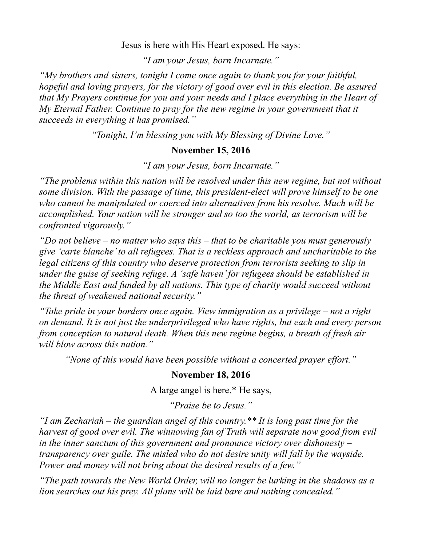Jesus is here with His Heart exposed. He says:

*"I am your Jesus, born Incarnate."*

*"My brothers and sisters, tonight I come once again to thank you for your faithful, hopeful and loving prayers, for the victory of good over evil in this election. Be assured that My Prayers continue for you and your needs and I place everything in the Heart of My Eternal Father. Continue to pray for the new regime in your government that it succeeds in everything it has promised."*

*"Tonight, I'm blessing you with My Blessing of Divine Love."*

### **November 15, 2016**

*"I am your Jesus, born Incarnate."*

*"The problems within this nation will be resolved under this new regime, but not without some division. With the passage of time, this president-elect will prove himself to be one who cannot be manipulated or coerced into alternatives from his resolve. Much will be accomplished. Your nation will be stronger and so too the world, as terrorism will be confronted vigorously."*

*"Do not believe – no matter who says this – that to be charitable you must generously give 'carte blanche' to all refugees. That is a reckless approach and uncharitable to the legal citizens of this country who deserve protection from terrorists seeking to slip in under the guise of seeking refuge. A 'safe haven' for refugees should be established in the Middle East and funded by all nations. This type of charity would succeed without the threat of weakened national security."*

*"Take pride in your borders once again. View immigration as a privilege – not a right on demand. It is not just the underprivileged who have rights, but each and every person from conception to natural death. When this new regime begins, a breath of fresh air will blow across this nation."*

*"None of this would have been possible without a concerted prayer effort."*

### **November 18, 2016**

A large angel is here.\* He says,

*"Praise be to Jesus."*

*"I am Zechariah – the guardian angel of this country.\*\* It is long past time for the harvest of good over evil. The winnowing fan of Truth will separate now good from evil*  in the inner sanctum of this government and pronounce victory over dishonesty – *transparency over guile. The misled who do not desire unity will fall by the wayside. Power and money will not bring about the desired results of a few."*

*"The path towards the New World Order, will no longer be lurking in the shadows as a lion searches out his prey. All plans will be laid bare and nothing concealed."*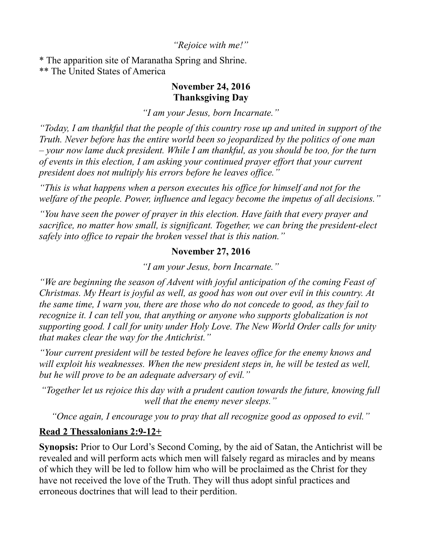#### *"Rejoice with me!"*

\* The apparition site of Maranatha Spring and Shrine. \*\* The United States of America

#### **November 24, 2016 Thanksgiving Day**

*"I am your Jesus, born Incarnate."*

*"Today, I am thankful that the people of this country rose up and united in support of the Truth. Never before has the entire world been so jeopardized by the politics of one man – your now lame duck president. While I am thankful, as you should be too, for the turn of events in this election, I am asking your continued prayer effort that your current president does not multiply his errors before he leaves office."*

*"This is what happens when a person executes his office for himself and not for the welfare of the people. Power, influence and legacy become the impetus of all decisions."*

*"You have seen the power of prayer in this election. Have faith that every prayer and sacrifice, no matter how small, is significant. Together, we can bring the president-elect safely into office to repair the broken vessel that is this nation."*

## **November 27, 2016**

*"I am your Jesus, born Incarnate."*

*"We are beginning the season of Advent with joyful anticipation of the coming Feast of Christmas. My Heart is joyful as well, as good has won out over evil in this country. At the same time, I warn you, there are those who do not concede to good, as they fail to recognize it. I can tell you, that anything or anyone who supports globalization is not supporting good. I call for unity under Holy Love. The New World Order calls for unity that makes clear the way for the Antichrist."*

*"Your current president will be tested before he leaves office for the enemy knows and*  will exploit his weaknesses. When the new president steps in, he will be tested as well, *but he will prove to be an adequate adversary of evil."*

*"Together let us rejoice this day with a prudent caution towards the future, knowing full well that the enemy never sleeps."*

*"Once again, I encourage you to pray that all recognize good as opposed to evil."*

## **Read 2 Thessalonians 2:9-12+**

**Synopsis:** Prior to Our Lord's Second Coming, by the aid of Satan, the Antichrist will be revealed and will perform acts which men will falsely regard as miracles and by means of which they will be led to follow him who will be proclaimed as the Christ for they have not received the love of the Truth. They will thus adopt sinful practices and erroneous doctrines that will lead to their perdition.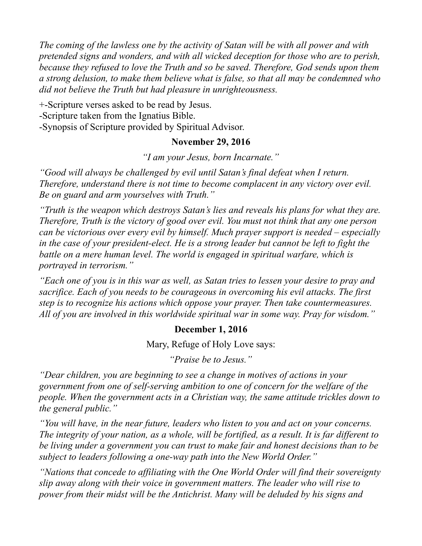*The coming of the lawless one by the activity of Satan will be with all power and with pretended signs and wonders, and with all wicked deception for those who are to perish, because they refused to love the Truth and so be saved. Therefore, God sends upon them a strong delusion, to make them believe what is false, so that all may be condemned who did not believe the Truth but had pleasure in unrighteousness.*

+-Scripture verses asked to be read by Jesus.

-Scripture taken from the Ignatius Bible.

-Synopsis of Scripture provided by Spiritual Advisor.

## **November 29, 2016**

*"I am your Jesus, born Incarnate."*

*"Good will always be challenged by evil until Satan's final defeat when I return. Therefore, understand there is not time to become complacent in any victory over evil. Be on guard and arm yourselves with Truth."*

*"Truth is the weapon which destroys Satan's lies and reveals his plans for what they are. Therefore, Truth is the victory of good over evil. You must not think that any one person can be victorious over every evil by himself. Much prayer support is needed – especially* in the case of your president-elect. He is a strong leader but cannot be left to fight the battle on a mere human level. The world is engaged in spiritual warfare, which is *portrayed in terrorism."*

*"Each one of you is in this war as well, as Satan tries to lessen your desire to pray and sacrifice. Each of you needs to be courageous in overcoming his evil attacks. The first step is to recognize his actions which oppose your prayer. Then take countermeasures. All of you are involved in this worldwide spiritual war in some way. Pray for wisdom."*

## **December 1, 2016**

Mary, Refuge of Holy Love says:

*"Praise be to Jesus."*

*"Dear children, you are beginning to see a change in motives of actions in your government from one of self-serving ambition to one of concern for the welfare of the people. When the government acts in a Christian way, the same attitude trickles down to the general public."*

*"You will have, in the near future, leaders who listen to you and act on your concerns. The integrity of your nation, as a whole, will be fortified, as a result. It is far different to be living under a government you can trust to make fair and honest decisions than to be subject to leaders following a one-way path into the New World Order."*

*"Nations that concede to affiliating with the One World Order will find their sovereignty slip away along with their voice in government matters. The leader who will rise to power from their midst will be the Antichrist. Many will be deluded by his signs and*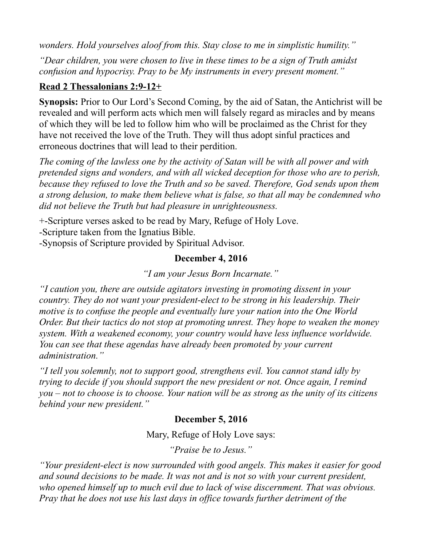*wonders. Hold yourselves aloof from this. Stay close to me in simplistic humility."*

*"Dear children, you were chosen to live in these times to be a sign of Truth amidst confusion and hypocrisy. Pray to be My instruments in every present moment."*

## **Read 2 Thessalonians 2:9-12+**

**Synopsis:** Prior to Our Lord's Second Coming, by the aid of Satan, the Antichrist will be revealed and will perform acts which men will falsely regard as miracles and by means of which they will be led to follow him who will be proclaimed as the Christ for they have not received the love of the Truth. They will thus adopt sinful practices and erroneous doctrines that will lead to their perdition.

*The coming of the lawless one by the activity of Satan will be with all power and with pretended signs and wonders, and with all wicked deception for those who are to perish, because they refused to love the Truth and so be saved. Therefore, God sends upon them a strong delusion, to make them believe what is false, so that all may be condemned who did not believe the Truth but had pleasure in unrighteousness.*

+-Scripture verses asked to be read by Mary, Refuge of Holy Love.

-Scripture taken from the Ignatius Bible.

-Synopsis of Scripture provided by Spiritual Advisor.

## **December 4, 2016**

## *"I am your Jesus Born Incarnate."*

*"I caution you, there are outside agitators investing in promoting dissent in your country. They do not want your president-elect to be strong in his leadership. Their motive is to confuse the people and eventually lure your nation into the One World Order. But their tactics do not stop at promoting unrest. They hope to weaken the money system. With a weakened economy, your country would have less influence worldwide. You can see that these agendas have already been promoted by your current administration."*

*"I tell you solemnly, not to support good, strengthens evil. You cannot stand idly by trying to decide if you should support the new president or not. Once again, I remind you – not to choose is to choose. Your nation will be as strong as the unity of its citizens behind your new president."*

## **December 5, 2016**

Mary, Refuge of Holy Love says:

*"Praise be to Jesus."*

*"Your president-elect is now surrounded with good angels. This makes it easier for good and sound decisions to be made. It was not and is not so with your current president, who opened himself up to much evil due to lack of wise discernment. That was obvious. Pray that he does not use his last days in office towards further detriment of the*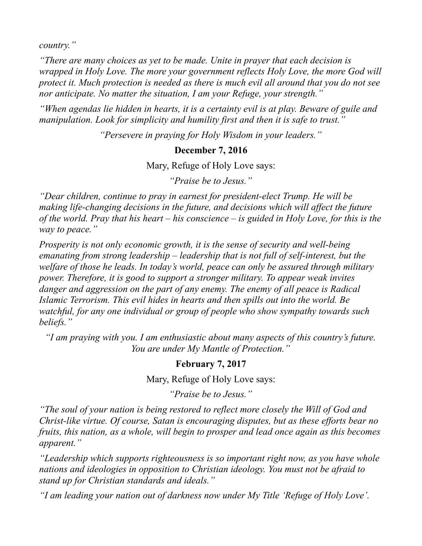*country."*

*"There are many choices as yet to be made. Unite in prayer that each decision is wrapped in Holy Love. The more your government reflects Holy Love, the more God will protect it. Much protection is needed as there is much evil all around that you do not see nor anticipate. No matter the situation, I am your Refuge, your strength."*

*"When agendas lie hidden in hearts, it is a certainty evil is at play. Beware of guile and manipulation. Look for simplicity and humility first and then it is safe to trust."*

*"Persevere in praying for Holy Wisdom in your leaders."*

### **December 7, 2016**

Mary, Refuge of Holy Love says:

*"Praise be to Jesus."*

*"Dear children, continue to pray in earnest for president-elect Trump. He will be making life-changing decisions in the future, and decisions which will affect the future of the world. Pray that his heart – his conscience – is guided in Holy Love, for this is the way to peace."*

*Prosperity is not only economic growth, it is the sense of security and well-being emanating from strong leadership – leadership that is not full of self-interest, but the welfare of those he leads. In today's world, peace can only be assured through military power. Therefore, it is good to support a stronger military. To appear weak invites danger and aggression on the part of any enemy. The enemy of all peace is Radical Islamic Terrorism. This evil hides in hearts and then spills out into the world. Be watchful, for any one individual or group of people who show sympathy towards such beliefs."*

*"I am praying with you. I am enthusiastic about many aspects of this country's future. You are under My Mantle of Protection."*

#### **February 7, 2017**

Mary, Refuge of Holy Love says:

*"Praise be to Jesus."*

*"The soul of your nation is being restored to reflect more closely the Will of God and Christ-like virtue. Of course, Satan is encouraging disputes, but as these efforts bear no fruits, this nation, as a whole, will begin to prosper and lead once again as this becomes apparent."*

*"Leadership which supports righteousness is so important right now, as you have whole nations and ideologies in opposition to Christian ideology. You must not be afraid to stand up for Christian standards and ideals."*

*"I am leading your nation out of darkness now under My Title 'Refuge of Holy Love'.*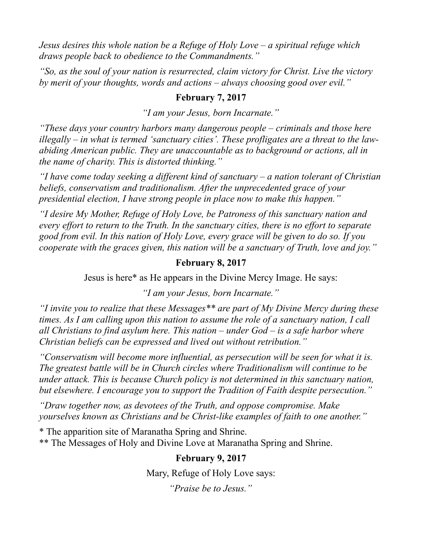*Jesus desires this whole nation be a Refuge of Holy Love – a spiritual refuge which draws people back to obedience to the Commandments."*

*"So, as the soul of your nation is resurrected, claim victory for Christ. Live the victory by merit of your thoughts, words and actions – always choosing good over evil."*

#### **February 7, 2017**

*"I am your Jesus, born Incarnate."*

*"These days your country harbors many dangerous people – criminals and those here illegally – in what is termed 'sanctuary cities'. These profligates are a threat to the lawabiding American public. They are unaccountable as to background or actions, all in the name of charity. This is distorted thinking."*

*"I have come today seeking a different kind of sanctuary – a nation tolerant of Christian beliefs, conservatism and traditionalism. After the unprecedented grace of your presidential election, I have strong people in place now to make this happen."*

*"I desire My Mother, Refuge of Holy Love, be Patroness of this sanctuary nation and every effort to return to the Truth. In the sanctuary cities, there is no effort to separate good from evil. In this nation of Holy Love, every grace will be given to do so. If you cooperate with the graces given, this nation will be a sanctuary of Truth, love and joy."*

## **February 8, 2017**

Jesus is here\* as He appears in the Divine Mercy Image. He says:

*"I am your Jesus, born Incarnate."*

*"I invite you to realize that these Messages\*\* are part of My Divine Mercy during these times. As I am calling upon this nation to assume the role of a sanctuary nation, I call all Christians to find asylum here. This nation – under God – is a safe harbor where Christian beliefs can be expressed and lived out without retribution."*

*"Conservatism will become more influential, as persecution will be seen for what it is. The greatest battle will be in Church circles where Traditionalism will continue to be under attack. This is because Church policy is not determined in this sanctuary nation, but elsewhere. I encourage you to support the Tradition of Faith despite persecution."*

*"Draw together now, as devotees of the Truth, and oppose compromise. Make yourselves known as Christians and be Christ-like examples of faith to one another."*

\* The apparition site of Maranatha Spring and Shrine.

\*\* The Messages of Holy and Divine Love at Maranatha Spring and Shrine.

## **February 9, 2017**

Mary, Refuge of Holy Love says:

*"Praise be to Jesus."*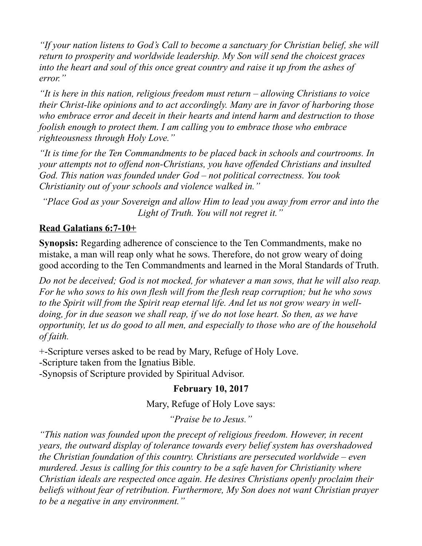*"If your nation listens to God's Call to become a sanctuary for Christian belief, she will return to prosperity and worldwide leadership. My Son will send the choicest graces*  into the heart and soul of this once great country and raise it up from the ashes of *error."*

*"It is here in this nation, religious freedom must return – allowing Christians to voice their Christ-like opinions and to act accordingly. Many are in favor of harboring those who embrace error and deceit in their hearts and intend harm and destruction to those foolish enough to protect them. I am calling you to embrace those who embrace righteousness through Holy Love."*

*"It is time for the Ten Commandments to be placed back in schools and courtrooms. In your attempts not to offend non-Christians, you have offended Christians and insulted God. This nation was founded under God – not political correctness. You took Christianity out of your schools and violence walked in."*

*"Place God as your Sovereign and allow Him to lead you away from error and into the Light of Truth. You will not regret it."*

## **Read Galatians 6:7-10+**

**Synopsis:** Regarding adherence of conscience to the Ten Commandments, make no mistake, a man will reap only what he sows. Therefore, do not grow weary of doing good according to the Ten Commandments and learned in the Moral Standards of Truth.

*Do not be deceived; God is not mocked, for whatever a man sows, that he will also reap. For he who sows to his own flesh will from the flesh reap corruption; but he who sows to the Spirit will from the Spirit reap eternal life. And let us not grow weary in welldoing, for in due season we shall reap, if we do not lose heart. So then, as we have opportunity, let us do good to all men, and especially to those who are of the household of faith.*

+-Scripture verses asked to be read by Mary, Refuge of Holy Love. -Scripture taken from the Ignatius Bible.

-Synopsis of Scripture provided by Spiritual Advisor.

## **February 10, 2017**

Mary, Refuge of Holy Love says:

*"Praise be to Jesus."*

*"This nation was founded upon the precept of religious freedom. However, in recent years, the outward display of tolerance towards every belief system has overshadowed the Christian foundation of this country. Christians are persecuted worldwide – even murdered. Jesus is calling for this country to be a safe haven for Christianity where Christian ideals are respected once again. He desires Christians openly proclaim their beliefs without fear of retribution. Furthermore, My Son does not want Christian prayer to be a negative in any environment."*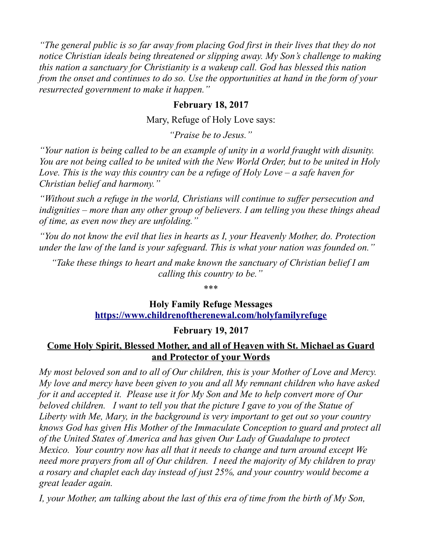*"The general public is so far away from placing God first in their lives that they do not notice Christian ideals being threatened or slipping away. My Son's challenge to making this nation a sanctuary for Christianity is a wakeup call. God has blessed this nation from the onset and continues to do so. Use the opportunities at hand in the form of your resurrected government to make it happen."*

### **February 18, 2017**

Mary, Refuge of Holy Love says:

*"Praise be to Jesus."*

*"Your nation is being called to be an example of unity in a world fraught with disunity. You are not being called to be united with the New World Order, but to be united in Holy Love. This is the way this country can be a refuge of Holy Love – a safe haven for Christian belief and harmony."*

*"Without such a refuge in the world, Christians will continue to suffer persecution and indignities – more than any other group of believers. I am telling you these things ahead of time, as even now they are unfolding."*

*"You do not know the evil that lies in hearts as I, your Heavenly Mother, do. Protection under the law of the land is your safeguard. This is what your nation was founded on."*

*"Take these things to heart and make known the sanctuary of Christian belief I am calling this country to be."*

\*\*\*

## **Holy Family Refuge Messages <https://www.childrenoftherenewal.com/holyfamilyrefuge>**

#### **February 19, 2017**

### **Come Holy Spirit, Blessed Mother, and all of Heaven with St. Michael as Guard and Protector of your Words**

*My most beloved son and to all of Our children, this is your Mother of Love and Mercy. My love and mercy have been given to you and all My remnant children who have asked for it and accepted it. Please use it for My Son and Me to help convert more of Our beloved children. I want to tell you that the picture I gave to you of the Statue of Liberty with Me, Mary, in the background is very important to get out so your country knows God has given His Mother of the Immaculate Conception to guard and protect all of the United States of America and has given Our Lady of Guadalupe to protect Mexico. Your country now has all that it needs to change and turn around except We need more prayers from all of Our children. I need the majority of My children to pray a rosary and chaplet each day instead of just 25%, and your country would become a great leader again.* 

*I, your Mother, am talking about the last of this era of time from the birth of My Son,*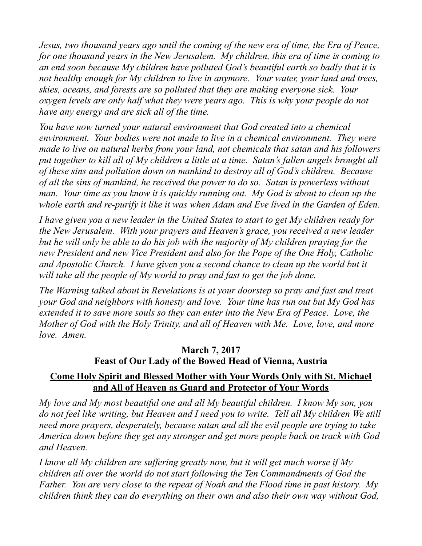*Jesus, two thousand years ago until the coming of the new era of time, the Era of Peace, for one thousand years in the New Jerusalem. My children, this era of time is coming to an end soon because My children have polluted God's beautiful earth so badly that it is not healthy enough for My children to live in anymore. Your water, your land and trees, skies, oceans, and forests are so polluted that they are making everyone sick. Your oxygen levels are only half what they were years ago. This is why your people do not have any energy and are sick all of the time.*

*You have now turned your natural environment that God created into a chemical environment. Your bodies were not made to live in a chemical environment. They were made to live on natural herbs from your land, not chemicals that satan and his followers put together to kill all of My children a little at a time. Satan's fallen angels brought all of these sins and pollution down on mankind to destroy all of God's children. Because of all the sins of mankind, he received the power to do so. Satan is powerless without man. Your time as you know it is quickly running out. My God is about to clean up the whole earth and re-purify it like it was when Adam and Eve lived in the Garden of Eden.*

*I have given you a new leader in the United States to start to get My children ready for the New Jerusalem. With your prayers and Heaven's grace, you received a new leader but he will only be able to do his job with the majority of My children praying for the new President and new Vice President and also for the Pope of the One Holy, Catholic and Apostolic Church. I have given you a second chance to clean up the world but it will take all the people of My world to pray and fast to get the job done.* 

*The Warning talked about in Revelations is at your doorstep so pray and fast and treat your God and neighbors with honesty and love. Your time has run out but My God has*  extended it to save more souls so they can enter into the New Era of Peace. Love, the *Mother of God with the Holy Trinity, and all of Heaven with Me. Love, love, and more love. Amen.*

# **March 7, 2017 Feast of Our Lady of the Bowed Head of Vienna, Austria**

## **Come Holy Spirit and Blessed Mother with Your Words Only with St. Michael and All of Heaven as Guard and Protector of Your Words**

*My love and My most beautiful one and all My beautiful children. I know My son, you do not feel like writing, but Heaven and I need you to write. Tell all My children We still need more prayers, desperately, because satan and all the evil people are trying to take America down before they get any stronger and get more people back on track with God and Heaven.*

*I know all My children are suffering greatly now, but it will get much worse if My children all over the world do not start following the Ten Commandments of God the Father. You are very close to the repeat of Noah and the Flood time in past history. My children think they can do everything on their own and also their own way without God,*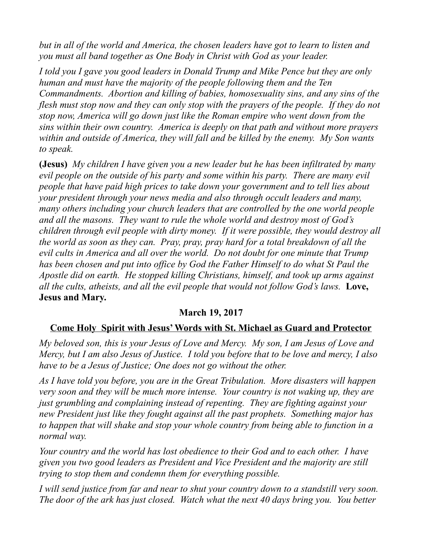*but in all of the world and America, the chosen leaders have got to learn to listen and you must all band together as One Body in Christ with God as your leader.* 

*I told you I gave you good leaders in Donald Trump and Mike Pence but they are only human and must have the majority of the people following them and the Ten Commandments. Abortion and killing of babies, homosexuality sins, and any sins of the flesh must stop now and they can only stop with the prayers of the people. If they do not stop now, America will go down just like the Roman empire who went down from the sins within their own country. America is deeply on that path and without more prayers within and outside of America, they will fall and be killed by the enemy. My Son wants to speak.*

**(Jesus)** *My children I have given you a new leader but he has been infiltrated by many evil people on the outside of his party and some within his party. There are many evil people that have paid high prices to take down your government and to tell lies about your president through your news media and also through occult leaders and many, many others including your church leaders that are controlled by the one world people and all the masons. They want to rule the whole world and destroy most of God's children through evil people with dirty money. If it were possible, they would destroy all the world as soon as they can. Pray, pray, pray hard for a total breakdown of all the evil cults in America and all over the world. Do not doubt for one minute that Trump has been chosen and put into office by God the Father Himself to do what St Paul the Apostle did on earth. He stopped killing Christians, himself, and took up arms against all the cults, atheists, and all the evil people that would not follow God's laws.* **Love, Jesus and Mary.**

### **March 19, 2017**

### **Come Holy Spirit with Jesus' Words with St. Michael as Guard and Protector**

*My beloved son, this is your Jesus of Love and Mercy. My son, I am Jesus of Love and Mercy, but I am also Jesus of Justice. I told you before that to be love and mercy, I also have to be a Jesus of Justice; One does not go without the other.*

*As I have told you before, you are in the Great Tribulation. More disasters will happen very soon and they will be much more intense. Your country is not waking up, they are just grumbling and complaining instead of repenting. They are fighting against your new President just like they fought against all the past prophets. Something major has to happen that will shake and stop your whole country from being able to function in a normal way.*

*Your country and the world has lost obedience to their God and to each other. I have given you two good leaders as President and Vice President and the majority are still trying to stop them and condemn them for everything possible.*

*I will send justice from far and near to shut your country down to a standstill very soon. The door of the ark has just closed. Watch what the next 40 days bring you. You better*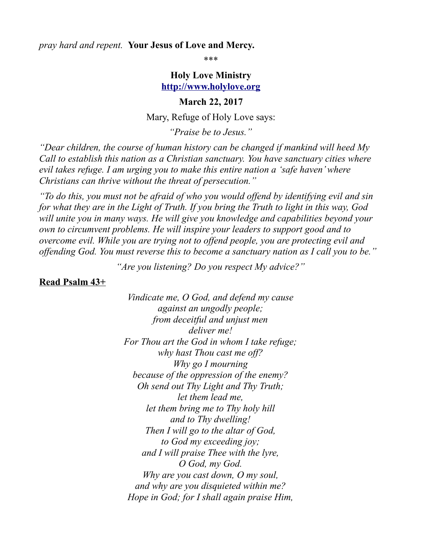#### *pray hard and repent.* **Your Jesus of Love and Mercy.**

\*\*\*

#### **Holy Love Ministry [http://www.holylove.org](http://www.holylove.org/)**

#### **March 22, 2017**

Mary, Refuge of Holy Love says:

*"Praise be to Jesus."*

*"Dear children, the course of human history can be changed if mankind will heed My Call to establish this nation as a Christian sanctuary. You have sanctuary cities where evil takes refuge. I am urging you to make this entire nation a 'safe haven' where Christians can thrive without the threat of persecution."*

*"To do this, you must not be afraid of who you would offend by identifying evil and sin for what they are in the Light of Truth. If you bring the Truth to light in this way, God will unite you in many ways. He will give you knowledge and capabilities beyond your own to circumvent problems. He will inspire your leaders to support good and to overcome evil. While you are trying not to offend people, you are protecting evil and offending God. You must reverse this to become a sanctuary nation as I call you to be."*

*"Are you listening? Do you respect My advice?"*

#### **Read Psalm 43+**

*Vindicate me, O God, and defend my cause against an ungodly people; from deceitful and unjust men deliver me! For Thou art the God in whom I take refuge; why hast Thou cast me off? Why go I mourning because of the oppression of the enemy? Oh send out Thy Light and Thy Truth; let them lead me, let them bring me to Thy holy hill and to Thy dwelling! Then I will go to the altar of God, to God my exceeding joy; and I will praise Thee with the lyre, O God, my God. Why are you cast down, O my soul, and why are you disquieted within me? Hope in God; for I shall again praise Him,*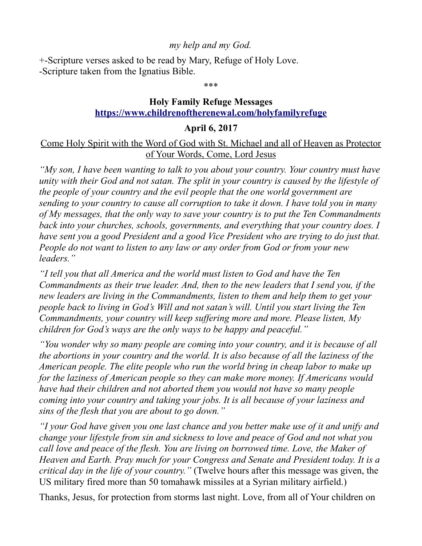### *my help and my God.*

+-Scripture verses asked to be read by Mary, Refuge of Holy Love. -Scripture taken from the Ignatius Bible.

\*\*\*

#### **Holy Family Refuge Messages <https://www.childrenoftherenewal.com/holyfamilyrefuge>**

#### **April 6, 2017**

Come Holy Spirit with the Word of God with St. Michael and all of Heaven as Protector of Your Words, Come, Lord Jesus

*"My son, I have been wanting to talk to you about your country. Your country must have unity with their God and not satan. The split in your country is caused by the lifestyle of the people of your country and the evil people that the one world government are sending to your country to cause all corruption to take it down. I have told you in many of My messages, that the only way to save your country is to put the Ten Commandments back into your churches, schools, governments, and everything that your country does. I have sent you a good President and a good Vice President who are trying to do just that. People do not want to listen to any law or any order from God or from your new leaders."*

*"I tell you that all America and the world must listen to God and have the Ten Commandments as their true leader. And, then to the new leaders that I send you, if the new leaders are living in the Commandments, listen to them and help them to get your people back to living in God's Will and not satan's will. Until you start living the Ten Commandments, your country will keep suffering more and more. Please listen, My children for God's ways are the only ways to be happy and peaceful."*

*"You wonder why so many people are coming into your country, and it is because of all the abortions in your country and the world. It is also because of all the laziness of the American people. The elite people who run the world bring in cheap labor to make up for the laziness of American people so they can make more money. If Americans would have had their children and not aborted them you would not have so many people coming into your country and taking your jobs. It is all because of your laziness and sins of the flesh that you are about to go down."*

*"I your God have given you one last chance and you better make use of it and unify and change your lifestyle from sin and sickness to love and peace of God and not what you call love and peace of the flesh. You are living on borrowed time. Love, the Maker of Heaven and Earth. Pray much for your Congress and Senate and President today. It is a critical day in the life of your country."* (Twelve hours after this message was given, the US military fired more than 50 tomahawk missiles at a Syrian military airfield.)

Thanks, Jesus, for protection from storms last night. Love, from all of Your children on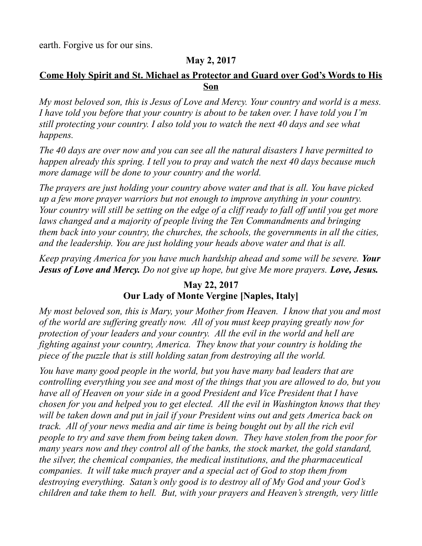earth. Forgive us for our sins.

## **May 2, 2017**

## **Come Holy Spirit and St. Michael as Protector and Guard over God's Words to His Son**

*My most beloved son, this is Jesus of Love and Mercy. Your country and world is a mess. I have told you before that your country is about to be taken over. I have told you I'm still protecting your country. I also told you to watch the next 40 days and see what happens.*

*The 40 days are over now and you can see all the natural disasters I have permitted to happen already this spring. I tell you to pray and watch the next 40 days because much more damage will be done to your country and the world.*

*The prayers are just holding your country above water and that is all. You have picked up a few more prayer warriors but not enough to improve anything in your country. Your country will still be setting on the edge of a cliff ready to fall off until you get more laws changed and a majority of people living the Ten Commandments and bringing them back into your country, the churches, the schools, the governments in all the cities, and the leadership. You are just holding your heads above water and that is all.*

*Keep praying America for you have much hardship ahead and some will be severe. Your Jesus of Love and Mercy. Do not give up hope, but give Me more prayers. Love, Jesus.*

## **May 22, 2017 Our Lady of Monte Vergine [Naples, Italy]**

*My most beloved son, this is Mary, your Mother from Heaven. I know that you and most of the world are suffering greatly now. All of you must keep praying greatly now for protection of your leaders and your country. All the evil in the world and hell are fighting against your country, America. They know that your country is holding the piece of the puzzle that is still holding satan from destroying all the world.*

*You have many good people in the world, but you have many bad leaders that are controlling everything you see and most of the things that you are allowed to do, but you have all of Heaven on your side in a good President and Vice President that I have chosen for you and helped you to get elected. All the evil in Washington knows that they will be taken down and put in jail if your President wins out and gets America back on track. All of your news media and air time is being bought out by all the rich evil people to try and save them from being taken down. They have stolen from the poor for many years now and they control all of the banks, the stock market, the gold standard, the silver, the chemical companies, the medical institutions, and the pharmaceutical companies. It will take much prayer and a special act of God to stop them from destroying everything. Satan's only good is to destroy all of My God and your God's children and take them to hell. But, with your prayers and Heaven's strength, very little*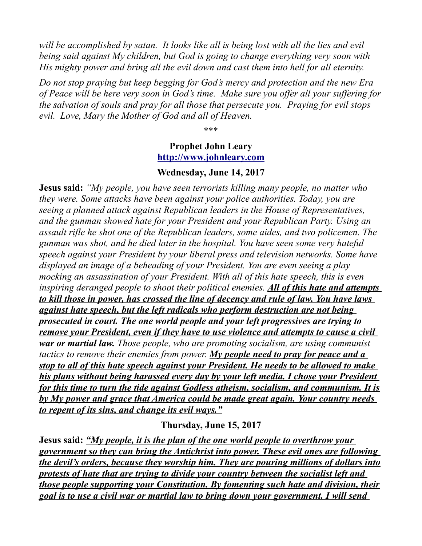*will be accomplished by satan. It looks like all is being lost with all the lies and evil being said against My children, but God is going to change everything very soon with His mighty power and bring all the evil down and cast them into hell for all eternity.*

*Do not stop praying but keep begging for God's mercy and protection and the new Era of Peace will be here very soon in God's time. Make sure you offer all your suffering for the salvation of souls and pray for all those that persecute you. Praying for evil stops evil. Love, Mary the Mother of God and all of Heaven.*

\*\*\*

### **Prophet John Leary [http://www.johnleary.com](http://www.johnleary.com/)**

#### **Wednesday, June 14, 2017**

**Jesus said:** *"My people, you have seen terrorists killing many people, no matter who they were. Some attacks have been against your police authorities. Today, you are seeing a planned attack against Republican leaders in the House of Representatives, and the gunman showed hate for your President and your Republican Party. Using an assault rifle he shot one of the Republican leaders, some aides, and two policemen. The gunman was shot, and he died later in the hospital. You have seen some very hateful speech against your President by your liberal press and television networks. Some have displayed an image of a beheading of your President. You are even seeing a play mocking an assassination of your President. With all of this hate speech, this is even inspiring deranged people to shoot their political enemies. All of this hate and attempts to kill those in power, has crossed the line of decency and rule of law. You have laws against hate speech, but the left radicals who perform destruction are not being prosecuted in court. The one world people and your left progressives are trying to remove your President, even if they have to use violence and attempts to cause a civil war or martial law. Those people, who are promoting socialism, are using communist tactics to remove their enemies from power. My people need to pray for peace and a stop to all of this hate speech against your President. He needs to be allowed to make his plans without being harassed every day by your left media. I chose your President for this time to turn the tide against Godless atheism, socialism, and communism. It is by My power and grace that America could be made great again. Your country needs to repent of its sins, and change its evil ways."*

**Thursday, June 15, 2017**

**Jesus said:** *"My people, it is the plan of the one world people to overthrow your government so they can bring the Antichrist into power. These evil ones are following the devil's orders, because they worship him. They are pouring millions of dollars into protests of hate that are trying to divide your country between the socialist left and those people supporting your Constitution. By fomenting such hate and division, their goal is to use a civil war or martial law to bring down your government. I will send*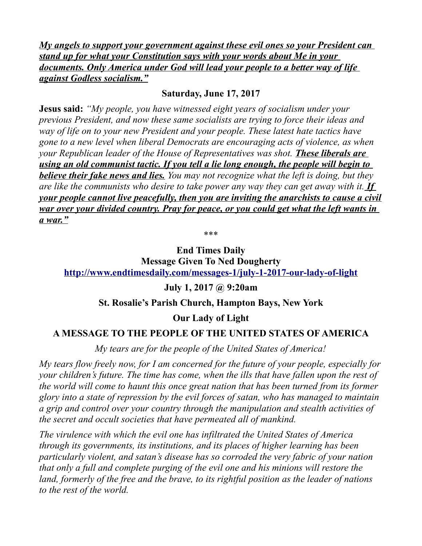*My angels to support your government against these evil ones so your President can stand up for what your Constitution says with your words about Me in your documents. Only America under God will lead your people to a better way of life against Godless socialism."*

### **Saturday, June 17, 2017**

**Jesus said:** *"My people, you have witnessed eight years of socialism under your previous President, and now these same socialists are trying to force their ideas and way of life on to your new President and your people. These latest hate tactics have gone to a new level when liberal Democrats are encouraging acts of violence, as when your Republican leader of the House of Representatives was shot. <i>These liberals are using an old communist tactic. If you tell a lie long enough, the people will begin to believe their fake news and lies. You may not recognize what the left is doing, but they are like the communists who desire to take power any way they can get away with it. If your people cannot live peacefully, then you are inviting the anarchists to cause a civil war over your divided country. Pray for peace, or you could get what the left wants in a war."*

\*\*\*

**End Times Daily**

**Message Given To Ned Dougherty <http://www.endtimesdaily.com/messages-1/july-1-2017-our-lady-of-light>**

## **July 1, 2017 @ 9:20am**

## **St. Rosalie's Parish Church, Hampton Bays, New York**

**Our Lady of Light**

## **A MESSAGE TO THE PEOPLE OF THE UNITED STATES OF AMERICA**

*My tears are for the people of the United States of America!*

*My tears flow freely now, for I am concerned for the future of your people, especially for your children's future. The time has come, when the ills that have fallen upon the rest of the world will come to haunt this once great nation that has been turned from its former glory into a state of repression by the evil forces of satan, who has managed to maintain a grip and control over your country through the manipulation and stealth activities of the secret and occult societies that have permeated all of mankind.*

*The virulence with which the evil one has infiltrated the United States of America through its governments, its institutions, and its places of higher learning has been particularly violent, and satan's disease has so corroded the very fabric of your nation that only a full and complete purging of the evil one and his minions will restore the land, formerly of the free and the brave, to its rightful position as the leader of nations to the rest of the world.*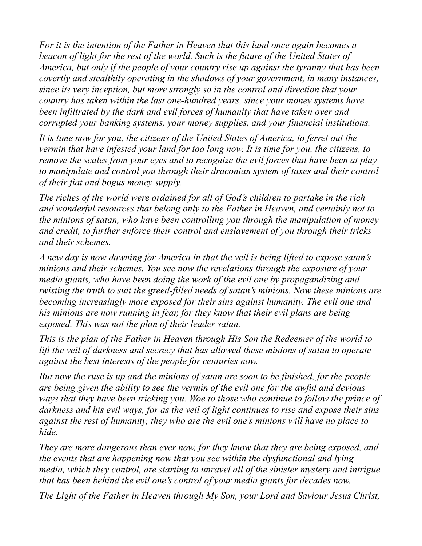*For it is the intention of the Father in Heaven that this land once again becomes a beacon of light for the rest of the world. Such is the future of the United States of America, but only if the people of your country rise up against the tyranny that has been covertly and stealthily operating in the shadows of your government, in many instances, since its very inception, but more strongly so in the control and direction that your country has taken within the last one-hundred years, since your money systems have been infiltrated by the dark and evil forces of humanity that have taken over and corrupted your banking systems, your money supplies, and your financial institutions.*

*It is time now for you, the citizens of the United States of America, to ferret out the vermin that have infested your land for too long now. It is time for you, the citizens, to remove the scales from your eyes and to recognize the evil forces that have been at play to manipulate and control you through their draconian system of taxes and their control of their fiat and bogus money supply.*

*The riches of the world were ordained for all of God's children to partake in the rich and wonderful resources that belong only to the Father in Heaven, and certainly not to the minions of satan, who have been controlling you through the manipulation of money and credit, to further enforce their control and enslavement of you through their tricks and their schemes.*

*A new day is now dawning for America in that the veil is being lifted to expose satan's minions and their schemes. You see now the revelations through the exposure of your media giants, who have been doing the work of the evil one by propagandizing and twisting the truth to suit the greed-filled needs of satan's minions. Now these minions are becoming increasingly more exposed for their sins against humanity. The evil one and his minions are now running in fear, for they know that their evil plans are being exposed. This was not the plan of their leader satan.*

*This is the plan of the Father in Heaven through His Son the Redeemer of the world to lift the veil of darkness and secrecy that has allowed these minions of satan to operate against the best interests of the people for centuries now.*

*But now the ruse is up and the minions of satan are soon to be finished, for the people are being given the ability to see the vermin of the evil one for the awful and devious ways that they have been tricking you. Woe to those who continue to follow the prince of darkness and his evil ways, for as the veil of light continues to rise and expose their sins against the rest of humanity, they who are the evil one's minions will have no place to hide.*

*They are more dangerous than ever now, for they know that they are being exposed, and the events that are happening now that you see within the dysfunctional and lying media, which they control, are starting to unravel all of the sinister mystery and intrigue that has been behind the evil one's control of your media giants for decades now.*

*The Light of the Father in Heaven through My Son, your Lord and Saviour Jesus Christ,*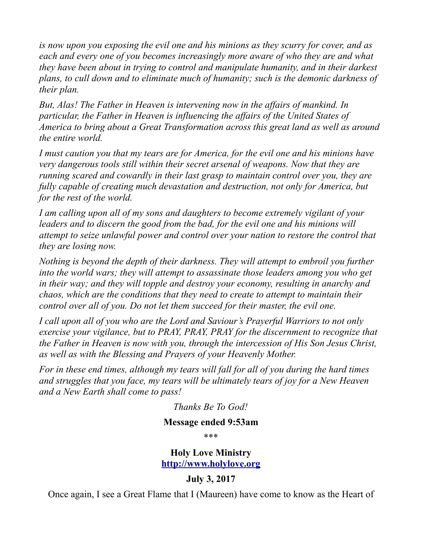*is now upon you exposing the evil one and his minions as they scurry for cover, and as*  each and every one of you becomes increasingly more aware of who they are and what *they have been about in trying to control and manipulate humanity, and in their darkest plans, to cull down and to eliminate much of humanity; such is the demonic darkness of their plan.*

*But, Alas! The Father in Heaven is intervening now in the affairs of mankind. In particular, the Father in Heaven is influencing the affairs of the United States of America to bring about a Great Transformation across this great land as well as around the entire world.*

*I must caution you that my tears are for America, for the evil one and his minions have very dangerous tools still within their secret arsenal of weapons. Now that they are running scared and cowardly in their last grasp to maintain control over you, they are fully capable of creating much devastation and destruction, not only for America, but for the rest of the world.*

*I am calling upon all of my sons and daughters to become extremely vigilant of your leaders and to discern the good from the bad, for the evil one and his minions will attempt to seize unlawful power and control over your nation to restore the control that they are losing now.*

*Nothing is beyond the depth of their darkness. They will attempt to embroil you further into the world wars; they will attempt to assassinate those leaders among you who get in their way; and they will topple and destroy your economy, resulting in anarchy and chaos, which are the conditions that they need to create to attempt to maintain their control over all of you. Do not let them succeed for their master, the evil one.*

*I call upon all of you who are the Lord and Saviour's Prayerful Warriors to not only exercise your vigilance, but to PRAY, PRAY, PRAY for the discernment to recognize that the Father in Heaven is now with you, through the intercession of His Son Jesus Christ, as well as with the Blessing and Prayers of your Heavenly Mother.*

*For in these end times, although my tears will fall for all of you during the hard times and struggles that you face, my tears will be ultimately tears of joy for a New Heaven and a New Earth shall come to pass!*

*Thanks Be To God!*

### **Message ended 9:53am**

\*\*\*

**Holy Love Ministry [http://www.holylove.org](http://www.holylove.org/)**

### **July 3, 2017**

Once again, I see a Great Flame that I (Maureen) have come to know as the Heart of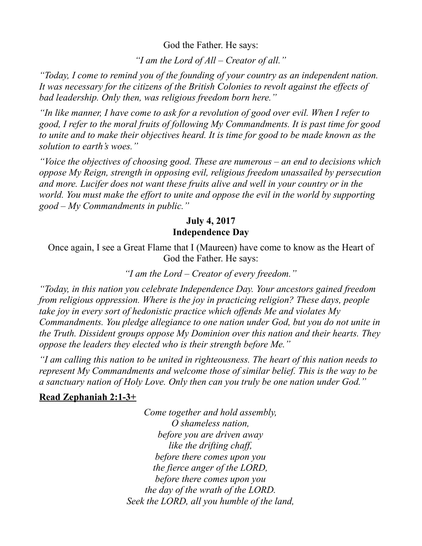God the Father. He says:

*"I am the Lord of All – Creator of all."*

*"Today, I come to remind you of the founding of your country as an independent nation. It was necessary for the citizens of the British Colonies to revolt against the effects of bad leadership. Only then, was religious freedom born here."*

*"In like manner, I have come to ask for a revolution of good over evil. When I refer to good, I refer to the moral fruits of following My Commandments. It is past time for good to unite and to make their objectives heard. It is time for good to be made known as the solution to earth's woes."*

*"Voice the objectives of choosing good. These are numerous – an end to decisions which oppose My Reign, strength in opposing evil, religious freedom unassailed by persecution and more. Lucifer does not want these fruits alive and well in your country or in the world. You must make the effort to unite and oppose the evil in the world by supporting good – My Commandments in public."*

#### **July 4, 2017 Independence Day**

Once again, I see a Great Flame that I (Maureen) have come to know as the Heart of God the Father. He says:

### *"I am the Lord – Creator of every freedom."*

*"Today, in this nation you celebrate Independence Day. Your ancestors gained freedom from religious oppression. Where is the joy in practicing religion? These days, people take joy in every sort of hedonistic practice which offends Me and violates My Commandments. You pledge allegiance to one nation under God, but you do not unite in the Truth. Dissident groups oppose My Dominion over this nation and their hearts. They oppose the leaders they elected who is their strength before Me."*

*"I am calling this nation to be united in righteousness. The heart of this nation needs to represent My Commandments and welcome those of similar belief. This is the way to be a sanctuary nation of Holy Love. Only then can you truly be one nation under God."*

### **Read Zephaniah 2:1-3+**

*Come together and hold assembly, O shameless nation, before you are driven away like the drifting chaff, before there comes upon you the fierce anger of the LORD, before there comes upon you the day of the wrath of the LORD. Seek the LORD, all you humble of the land,*